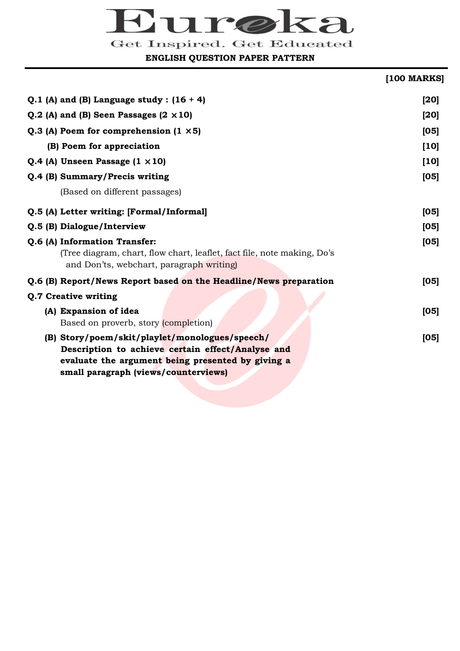# ura

Get Inspired. Get Educated

**ENGLISH QUESTION PAPER PATTERN** 

# **[100 MARKS] Q.1 (A) and (B) Language study : (16 + 4) [20] Q.2** (A) and (B) Seen Passages  $(2 \times 10)$  [20] **Q.3** (A) Poem for comprehension  $(1 \times 5)$  [05] **(B)** Poem for appreciation [10]

| Q.4 (A) Unseen Passage $(1 \times 10)$                                                                                                                                                           | $[10]$ |
|--------------------------------------------------------------------------------------------------------------------------------------------------------------------------------------------------|--------|
| Q.4 (B) Summary/Precis writing                                                                                                                                                                   | [05]   |
| (Based on different passages)                                                                                                                                                                    |        |
| Q.5 (A) Letter writing: [Formal/Informal]                                                                                                                                                        | [05]   |
| Q.5 (B) Dialogue/Interview                                                                                                                                                                       | [05]   |
| Q.6 (A) Information Transfer:<br>(Tree diagram, chart, flow chart, leaflet, fact file, note making, Do's<br>and Don'ts, webchart, paragraph writing)                                             | [05]   |
| Q.6 (B) Report/News Report based on the Headline/News preparation                                                                                                                                | [05]   |
| Q.7 Creative writing                                                                                                                                                                             |        |
| (A) Expansion of idea<br>Based on proverb, story (completion)                                                                                                                                    | [05]   |
| (B) Story/poem/skit/playlet/monologues/speech/<br>Description to achieve certain effect/Analyse and<br>evaluate the argument being presented by giving a<br>small paragraph (views/counterviews) | [05]   |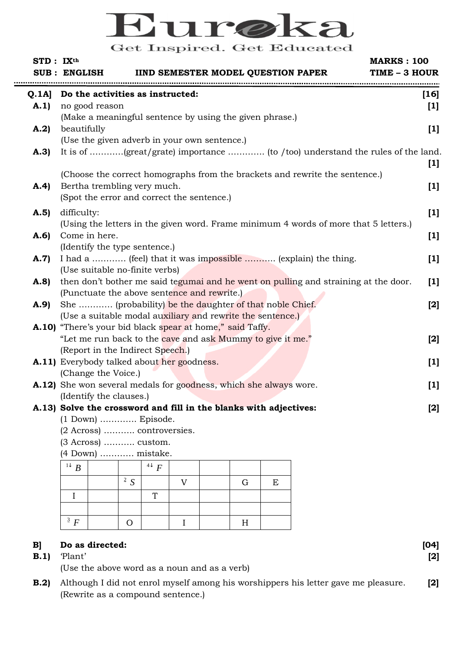# M **Get Educated Get Inspired**

| STD: IX <sup>th</sup> | <b>MARKS: 100</b><br><b>IIND SEMESTER MODEL QUESTION PAPER</b><br><b>SUB: ENGLISH</b><br>TIME - 3 HOUR |        |
|-----------------------|--------------------------------------------------------------------------------------------------------|--------|
| Q.1A                  | Do the activities as instructed:                                                                       | $[16]$ |
| A.1)                  | no good reason                                                                                         | $[1]$  |
|                       | (Make a meaningful sentence by using the given phrase.)                                                |        |
| A.2)                  | beautifully                                                                                            | $[1]$  |
|                       | (Use the given adverb in your own sentence.)                                                           |        |
| A.3)                  |                                                                                                        |        |
|                       |                                                                                                        | $[1]$  |
|                       | (Choose the correct homographs from the brackets and rewrite the sentence.)                            |        |
| A.4)                  | Bertha trembling very much.                                                                            | $[1]$  |
|                       | (Spot the error and correct the sentence.)                                                             |        |
| A.5)                  | difficulty:                                                                                            | $[1]$  |
|                       | (Using the letters in the given word. Frame minimum 4 words of more that 5 letters.)                   |        |
| A.6)                  | Come in here.                                                                                          | $[1]$  |
|                       | (Identify the type sentence.)                                                                          |        |
| A.7                   | I had a  (feel) that it was impossible  (explain) the thing.                                           | $[1]$  |
|                       | (Use suitable no-finite verbs)                                                                         |        |
| A.8                   | then don't bother me said tegumai and he went on pulling and straining at the door.                    | $[1]$  |
|                       | (Punctuate the above sentence and rewrite.)                                                            |        |
| A.9                   | She  (probability) be the daughter of that noble Chief.                                                | $[2]$  |
|                       | (Use a suitable modal auxiliary and rewrite the sentence.)                                             |        |
|                       | A.10) "There's your bid black spear at home," said Taffy.                                              |        |
|                       | "Let me run back to the cave and ask Mummy to give it me."                                             | $[2]$  |
|                       | (Report in the Indirect Speech.)                                                                       |        |
|                       | A.11) Everybody talked about her goodness.                                                             | $[1]$  |
|                       | (Change the Voice.)                                                                                    |        |
|                       | A.12) She won several medals for goodness, which she always wore.                                      | $[1]$  |
|                       | (Identify the clauses.)                                                                                |        |
|                       | A.13) Solve the crossword and fill in the blanks with adjectives:                                      | $[2]$  |
|                       | $(1)$ Down $)$ Episode.                                                                                |        |
|                       | (2 Across)  controversies.                                                                             |        |
|                       | (3 Across)  custom.                                                                                    |        |
|                       | (4 Down)  mistake.                                                                                     |        |
|                       | $\mathbb{R}$ R<br>$4\sqrt{F}$                                                                          |        |

| $\overline{B}$  |                | $4\sqrt{F}$     |                |   |   |
|-----------------|----------------|-----------------|----------------|---|---|
|                 | <sup>2</sup> S |                 | $\overline{I}$ | G | E |
|                 |                | $\mathbf{\tau}$ |                |   |   |
|                 |                |                 |                |   |   |
| $\frac{3}{5}$ F | ( )            |                 |                | H |   |

# **B] Do as directed: [04]**

 **B.1)** 'Plant' **[2]** 

(Use the above word as a noun and as a verb)

 **B.2)** Although I did not enrol myself among his worshippers his letter gave me pleasure. **[2]** (Rewrite as a compound sentence.)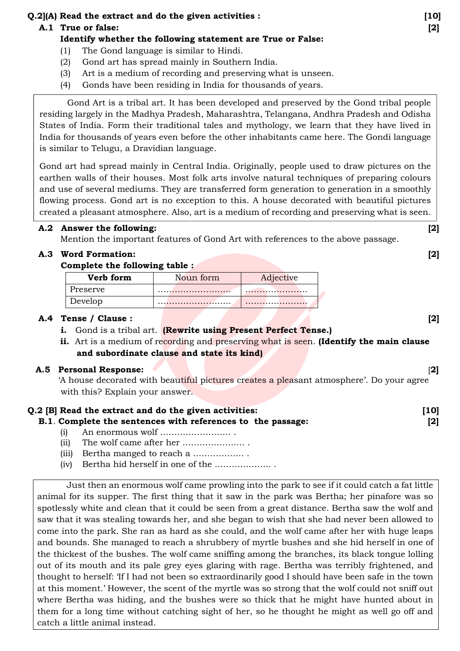# **Q.2](A) Read the extract and do the given activities : [10]**

# **A.1 True or false: [2]**

# **Identify whether the following statement are True or False:**

- (1) The Gond language is similar to Hindi.
- (2) Gond art has spread mainly in Southern India.
- (3) Art is a medium of recording and preserving what is unseen.
- (4) Gonds have been residing in India for thousands of years.

 Gond Art is a tribal art. It has been developed and preserved by the Gond tribal people residing largely in the Madhya Pradesh, Maharashtra, Telangana, Andhra Pradesh and Odisha States of India. Form their traditional tales and mythology, we learn that they have lived in India for thousands of years even before the other inhabitants came here. The Gondi language is similar to Telugu, a Dravidian language.

Gond art had spread mainly in Central India. Originally, people used to draw pictures on the earthen walls of their houses. Most folk arts involve natural techniques of preparing colours and use of several mediums. They are transferred form generation to generation in a smoothly flowing process. Gond art is no exception to this. A house decorated with beautiful pictures created a pleasant atmosphere. Also, art is a medium of recording and preserving what is seen.

# **A.2 Answer the following: [2]**

Mention the important features of Gond Art with references to the above passage.

# **A.3 Word Formation: [2]**

# **Complete the following table :**

| Verb form | Noun form | Adjective |
|-----------|-----------|-----------|
| Preserve  |           |           |
| Develop   |           |           |

# **A.4 Tense / Clause : [2]**

- **i.** Gond is a tribal art. **(Rewrite using Present Perfect Tense.)**
- **ii.** Art is a medium of recording and preserving what is seen. **(Identify the main clause and subordinate clause and state its kind)**

# **A.5 Personal Response:** [**2]**

'A house decorated with beautiful pictures creates a pleasant atmosphere'. Do your agree with this? Explain your answer.

# **Q.2 [B] Read the extract and do the given activities: [10]**

# **B.1**. **Complete the sentences with references to the passage: [2]**

- (i) An enormous wolf ……………………. .
- (ii) The wolf came after her …………………. .
- (iii) Bertha manged to reach a ……………… .
- (iv) Bertha hid herself in one of the ……………….. .

Just then an enormous wolf came prowling into the park to see if it could catch a fat little animal for its supper. The first thing that it saw in the park was Bertha; her pinafore was so spotlessly white and clean that it could be seen from a great distance. Bertha saw the wolf and saw that it was stealing towards her, and she began to wish that she had never been allowed to come into the park. She ran as hard as she could, and the wolf came after her with huge leaps and bounds. She managed to reach a shrubbery of myrtle bushes and she hid herself in one of the thickest of the bushes. The wolf came sniffing among the branches, its black tongue lolling out of its mouth and its pale grey eyes glaring with rage. Bertha was terribly frightened, and thought to herself: 'If I had not been so extraordinarily good I should have been safe in the town at this moment.' However, the scent of the myrtle was so strong that the wolf could not sniff out where Bertha was hiding, and the bushes were so thick that he might have hunted about in them for a long time without catching sight of her, so he thought he might as well go off and catch a little animal instead.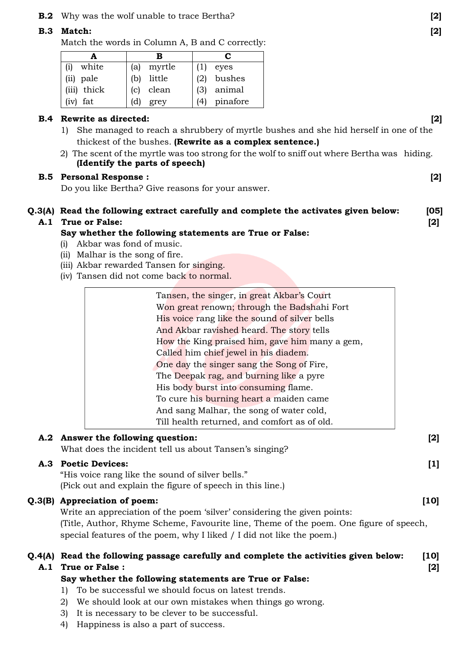### **B.2** Why was the wolf unable to trace Bertha? **[2]**

### **B.3 Match: [2]**

Match the words in Column A, B and C correctly:

|              | в             | C             |
|--------------|---------------|---------------|
| white<br>(i) | myrtle<br>(a) | eyes          |
| (ii) pale    | little<br>(b) | bushes        |
| (iii) thick  | clean<br>(c)  | animal<br>(3) |
| $(iv)$ fat   | (d)<br>grey   | pinafore      |

### **B.4 Rewrite as directed: [2]**

- 1) She managed to reach a shrubbery of myrtle bushes and she hid herself in one of the thickest of the bushes. **(Rewrite as a complex sentence.)**
- 2) The scent of the myrtle was too strong for the wolf to sniff out where Bertha was hiding. **(Identify the parts of speech)**

### **B.5 Personal Response : [2]**

Do you like Bertha? Give reasons for your answer.

# **Q.3(A) Read the following extract carefully and complete the activates given below: [05]**

### **A.1 True or False: [2]**

### **Say whether the following statements are True or False:**

- (i) Akbar was fond of music.
- (ii) Malhar is the song of fire.
- (iii) Akbar rewarded Tansen for singing.
- (iv) Tansen did not come back to normal.

| Tansen, the singer, in great Akbar's Court     |
|------------------------------------------------|
| Won great renown; through the Badshahi Fort    |
| His voice rang like the sound of silver bells  |
| And Akbar ravished heard. The story tells      |
| How the King praised him, gave him many a gem, |
| Called him chief jewel in his diadem.          |
| One day the singer sang the Song of Fire,      |
| The Deepak rag, and burning like a pyre        |
| His body burst into consuming flame.           |
| To cure his burning heart a maiden came        |
| And sang Malhar, the song of water cold,       |
| Till health returned, and comfort as of old.   |

### **A.2 Answer the following question: [2]**

What does the incident tell us about Tansen's singing?

# **A.3 Poetic Devices: [1]**

"His voice rang like the sound of silver bells." (Pick out and explain the figure of speech in this line.)

### **Q.3(B) Appreciation of poem: [10]**

Write an appreciation of the poem 'silver' considering the given points: (Title, Author, Rhyme Scheme, Favourite line, Theme of the poem. One figure of speech, special features of the poem, why I liked / I did not like the poem.)

# **Q.4(A) Read the following passage carefully and complete the activities given below: [10] A.1 True or False : [2]**

### **Say whether the following statements are True or False:**

- 1) To be successful we should focus on latest trends.
- 2) We should look at our own mistakes when things go wrong.
- 3) It is necessary to be clever to be successful.
- 4) Happiness is also a part of success.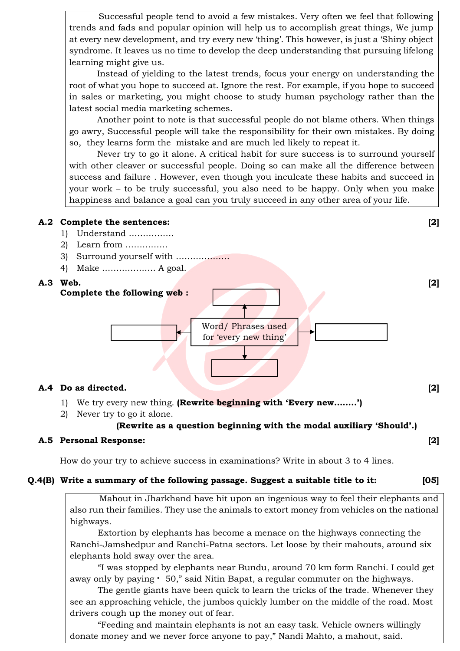Successful people tend to avoid a few mistakes. Very often we feel that following trends and fads and popular opinion will help us to accomplish great things, We jump at every new development, and try every new 'thing'. This however, is just a 'Shiny object syndrome. It leaves us no time to develop the deep understanding that pursuing lifelong learning might give us.

 Instead of yielding to the latest trends, focus your energy on understanding the root of what you hope to succeed at. Ignore the rest. For example, if you hope to succeed in sales or marketing, you might choose to study human psychology rather than the latest social media marketing schemes.

 Another point to note is that successful people do not blame others. When things go awry, Successful people will take the responsibility for their own mistakes. By doing so, they learns form the mistake and are much led likely to repeat it.

 Never try to go it alone. A critical habit for sure success is to surround yourself with other cleaver or successful people. Doing so can make all the difference between success and failure . However, even though you inculcate these habits and succeed in your work – to be truly successful, you also need to be happy. Only when you make happiness and balance a goal can you truly succeed in any other area of your life.

### **A.2 Complete the sentences: [2]**

- 1) Understand …………….
- 2) Learn from ……………
- 3) Surround yourself with ……………….
- 4) Make ………………. A goal.



### **A.4 Do as directed. [2]**

- 1) We try every new thing. **(Rewrite beginning with 'Every new……..')**
- 2) Never try to go it alone.

### **(Rewrite as a question beginning with the modal auxiliary 'Should'.)**

### **A.5 Personal Response: [2]**

How do your try to achieve success in examinations? Write in about 3 to 4 lines.

### **Q.4(B) Write a summary of the following passage. Suggest a suitable title to it: [05]**

Mahout in Jharkhand have hit upon an ingenious way to feel their elephants and also run their families. They use the animals to extort money from vehicles on the national highways.

 Extortion by elephants has become a menace on the highways connecting the Ranchi-Jamshedpur and Ranchi-Patna sectors. Let loose by their mahouts, around six elephants hold sway over the area.

 "I was stopped by elephants near Bundu, around 70 km form Ranchi. I could get away only by paying  $\cdot$  50," said Nitin Bapat, a regular commuter on the highways.

 The gentle giants have been quick to learn the tricks of the trade. Whenever they see an approaching vehicle, the jumbos quickly lumber on the middle of the road. Most drivers cough up the money out of fear.

 "Feeding and maintain elephants is not an easy task. Vehicle owners willingly donate money and we never force anyone to pay," Nandi Mahto, a mahout, said.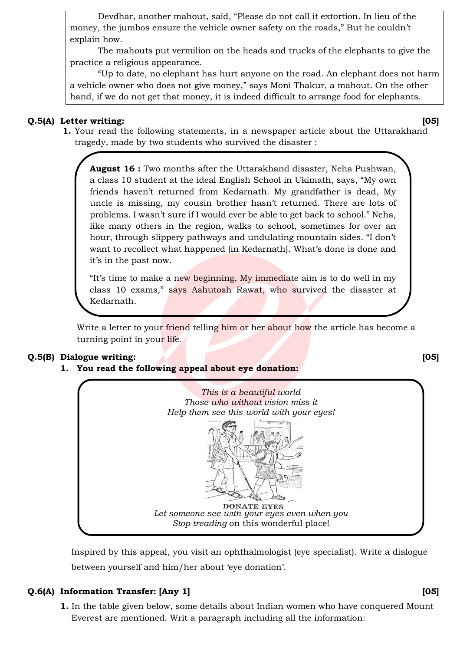Devdhar, another mahout, said, "Please do not call it extortion. In lieu of the money, the jumbos ensure the vehicle owner safety on the roads," But he couldn't explain how.

 The mahouts put vermilion on the heads and trucks of the elephants to give the practice a religious appearance.

 "Up to date, no elephant has hurt anyone on the road. An elephant does not harm a vehicle owner who does not give money," says Moni Thakur, a mahout. On the other hand, if we do not get that money, it is indeed difficult to arrange food for elephants.

### **Q.5(A) Letter writing: [05]**

 **1.** Your read the following statements, in a newspaper article about the Uttarakhand tragedy, made by two students who survived the disaster :

**August 16 :** Two months after the Uttarakhand disaster, Neha Pushwan, a class 10 student at the ideal English School in Ukimath, says, "My own friends haven't returned from Kedarnath. My grandfather is dead, My uncle is missing, my cousin brother hasn't returned. There are lots of problems. I wasn't sure if I would ever be able to get back to school." Neha, like many others in the region, walks to school, sometimes for over an hour, through slippery pathways and undulating mountain sides. "I don't want to recollect what happened (in Kedarnath). What's done is done and it's in the past now.

"It's time to make a new beginning, My immediate aim is to do well in my class 10 exams," says Ashutosh Rawat, who survived the disaster at Kedarnath.

Write a letter to your friend telling him or her about how the article has become a turning point in your life.

# **Q.5(B) Dialogue writing: [05]**

# **1. You read the following appeal about eye donation:**



Inspired by this appeal, you visit an ophthalmologist (eye specialist). Write a dialogue between yourself and him/her about 'eye donation'.

# **Q.6(A) Information Transfer: [Any 1] [05]**

 **1.** In the table given below, some details about Indian women who have conquered Mount Everest are mentioned. Writ a paragraph including all the information: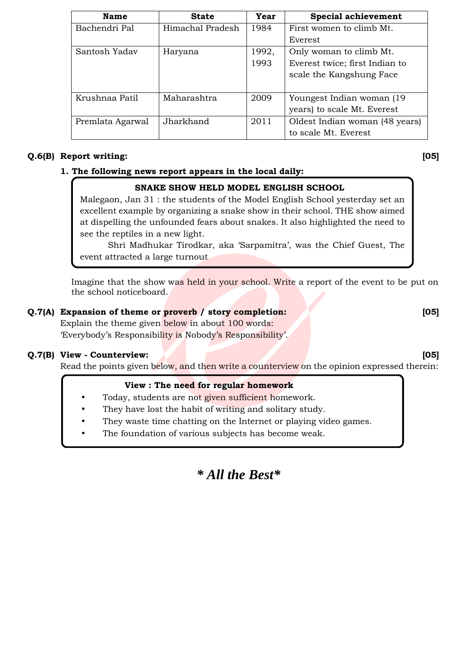| <b>Name</b>      | <b>State</b>     | Year  | <b>Special achievement</b>     |
|------------------|------------------|-------|--------------------------------|
| Bachendri Pal    | Himachal Pradesh | 1984  | First women to climb Mt.       |
|                  |                  |       | Everest                        |
| Santosh Yadav    | Haryana          | 1992, | Only woman to climb Mt.        |
|                  |                  | 1993  | Everest twice; first Indian to |
|                  |                  |       | scale the Kangshung Face       |
|                  |                  |       |                                |
| Krushnaa Patil   | Maharashtra      | 2009  | Youngest Indian woman (19)     |
|                  |                  |       | years) to scale Mt. Everest    |
| Premlata Agarwal | Jharkhand        | 2011  | Oldest Indian woman (48 years) |
|                  |                  |       | to scale Mt. Everest           |

### **Q.6(B) Report writing: [05]**

# **1. The following news report appears in the local daily:**

# **SNAKE SHOW HELD MODEL ENGLISH SCHOOL**

Malegaon, Jan 31 : the students of the Model English School yesterday set an excellent example by organizing a snake show in their school. THE show aimed at dispelling the unfounded fears about snakes. It also highlighted the need to see the reptiles in a new light.

 Shri Madhukar Tirodkar, aka 'Sarpamitra', was the Chief Guest, The event attracted a large turnout

 Imagine that the show was held in your school. Write a report of the event to be put on the school noticeboard.

# **Q.7(A)** Expansion of theme or proverb / story completion: [05]

Explain the theme given below in about 100 words: 'Everybody's Responsibility is Nobody's Responsibility'.

### **Q.7(B) View - Counterview: [05]**

Read the points given below, and then write a counterview on the opinion expressed therein:

### **View : The need for regular homework**

- Today, students are not given sufficient homework.
- They have lost the habit of writing and solitary study.
- They waste time chatting on the Internet or playing video games.
- The foundation of various subjects has become weak.

# *\* All the Best\**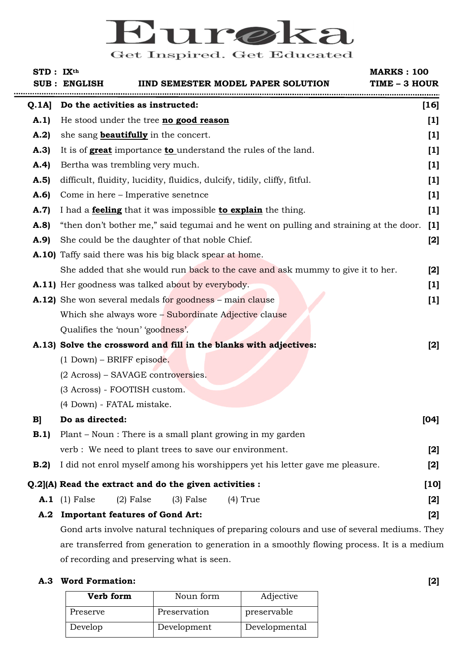# Eure ka Get Inspired. Get Educated

| STD: IX <sup>th</sup> | <b>IIND SEMESTER MODEL PAPER SOLUTION</b><br>SUB : ENGLISH                             | <b>MARKS: 100</b><br>TIME - 3 HOUR |
|-----------------------|----------------------------------------------------------------------------------------|------------------------------------|
| Q.1A                  | Do the activities as instructed:                                                       | $[16]$                             |
| A.1                   | He stood under the tree <b>no good reason</b>                                          | $[1]$                              |
| A.2)                  | she sang <b>beautifully</b> in the concert.                                            | $[1]$                              |
| A.3                   | It is of <b>great</b> importance <b>to</b> understand the rules of the land.           | $[1]$                              |
| A.4)                  | Bertha was trembling very much.                                                        | $[1]$                              |
| A.5                   | difficult, fluidity, lucidity, fluidics, dulcify, tidily, cliffy, fitful.              | $[1]$                              |
| A.6                   | Come in here – Imperative senetnce                                                     | $[1]$                              |
| A.7                   | I had a <b>feeling</b> that it was impossible <b>to explain</b> the thing.             | $[1]$                              |
| A.8                   | "then don't bother me," said tegumai and he went on pulling and straining at the door. | $[1]$                              |
| A.9                   | She could be the daughter of that noble Chief.                                         | $[2]$                              |
|                       | A.10) Taffy said there was his big black spear at home.                                |                                    |
|                       | She added that she would run back to the cave and ask mummy to give it to her.         | $[2]$                              |
|                       | <b>A.11)</b> Her goodness was talked about by everybody.                               | $[1]$                              |
|                       | A.12) She won several medals for goodness – main clause                                | $[1]$                              |
|                       | Which she always wore - Subordinate Adjective clause                                   |                                    |
|                       | Qualifies the 'noun' 'goodness'.                                                       |                                    |
|                       | A.13) Solve the crossword and fill in the blanks with adjectives:                      | $[2]$                              |
|                       | $(1)$ Down) – BRIFF episode.                                                           |                                    |
|                       | (2 Across) – SAVAGE controversies.                                                     |                                    |
|                       | (3 Across) - FOOTISH custom.                                                           |                                    |
|                       | (4 Down) - FATAL mistake.                                                              |                                    |
| B                     | Do as directed:                                                                        | [04]                               |
| B.1                   | Plant – Noun : There is a small plant growing in my garden                             |                                    |
|                       | verb : We need to plant trees to save our environment.                                 | $[2]$                              |
| B.2                   | I did not enrol myself among his worshippers yet his letter gave me pleasure.          | $[2]$                              |
|                       | Q.2](A) Read the extract and do the given activities :                                 | $[10]$                             |
|                       | $(2)$ False<br>$A.1$ (1) False<br>$(3)$ False<br>$(4)$ True                            | $[2]$                              |
|                       | A.2 Important features of Gond Art:                                                    | $[2]$                              |
|                       |                                                                                        |                                    |

Gond arts involve natural techniques of preparing colours and use of several mediums. They are transferred from generation to generation in a smoothly flowing process. It is a medium of recording and preserving what is seen.

# **A.3 Word Formation: [2]**

| Verb form | Noun form    | Adjective     |
|-----------|--------------|---------------|
| Preserve  | Preservation | preservable   |
| Develop   | Development  | Developmental |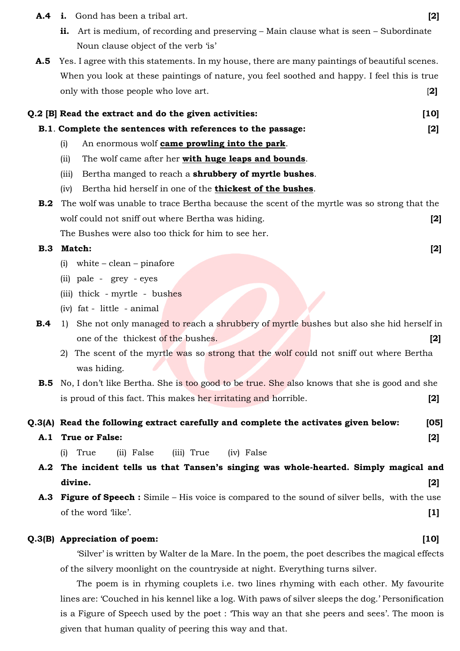- **A.4 i.** Gond has been a tribal art. **[2]** 
	- **ii.** Art is medium, of recording and preserving Main clause what is seen Subordinate Noun clause object of the verb 'is'
- A.5 Yes. I agree with this statements. In my house, there are many paintings of beautiful scenes. When you look at these paintings of nature, you feel soothed and happy. I feel this is true only with those people who love art. [**2]**

|      | Q.2 [B] Read the extract and do the given activities:                                                   | [10]  |
|------|---------------------------------------------------------------------------------------------------------|-------|
|      | B.1. Complete the sentences with references to the passage:                                             | [2]   |
|      | An enormous wolf came prowling into the park.<br>(i)                                                    |       |
|      | The wolf came after her with huge leaps and bounds.<br>(ii)                                             |       |
|      | Bertha manged to reach a shrubbery of myrtle bushes.<br>(iii)                                           |       |
|      | Bertha hid herself in one of the thickest of the bushes.<br>(iv)                                        |       |
| B.2  | The wolf was unable to trace Bertha because the scent of the myrtle was so strong that the              |       |
|      | wolf could not sniff out where Bertha was hiding.                                                       | $[2]$ |
|      | The Bushes were also too thick for him to see her.                                                      |       |
| B.3  | Match:                                                                                                  | $[2]$ |
|      | (i)<br>white $-\text{clean} - \text{pinafore}$                                                          |       |
|      | (ii) pale - grey - eyes                                                                                 |       |
|      | (iii) thick - myrtle - bushes                                                                           |       |
|      | (iv) fat - little - animal                                                                              |       |
| B.4  | 1) She not only managed to reach a shrubbery of myrtle bushes but also she hid herself in               |       |
|      | one of the thickest of the bushes.                                                                      | $[2]$ |
|      | 2) The scent of the myrtle was so strong that the wolf could not sniff out where Bertha                 |       |
|      | was hiding.                                                                                             |       |
|      | <b>B.5</b> No, I don't like Bertha. She is too good to be true. She also knows that she is good and she |       |
|      | is proud of this fact. This makes her irritating and horrible.                                          | $[2]$ |
|      | Q.3(A) Read the following extract carefully and complete the activates given below:                     | [05]  |
| A. 1 | <b>True or False:</b>                                                                                   | $[2]$ |
|      | (iii) True<br>True<br>(ii) False<br>(iv) False<br>(i)                                                   |       |
|      | A.2 The incident tells us that Tansen's singing was whole-hearted. Simply magical and                   |       |
|      | divine.                                                                                                 | $[2]$ |

 **A.3 Figure of Speech :** Simile – His voice is compared to the sound of silver bells, with the use of the word 'like'. **[1]** 

### **Q.3(B) Appreciation of poem: [10]**

'Silver' is written by Walter de la Mare. In the poem, the poet describes the magical effects of the silvery moonlight on the countryside at night. Everything turns silver.

 The poem is in rhyming couplets i.e. two lines rhyming with each other. My favourite lines are: 'Couched in his kennel like a log. With paws of silver sleeps the dog.' Personification is a Figure of Speech used by the poet : This way an that she peers and sees'. The moon is given that human quality of peering this way and that.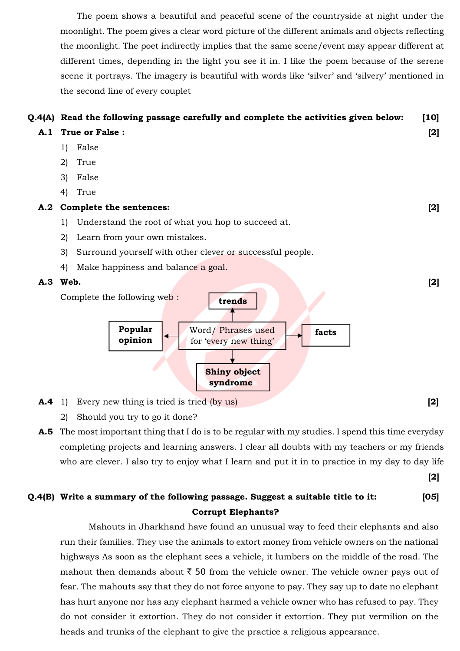The poem shows a beautiful and peaceful scene of the countryside at night under the moonlight. The poem gives a clear word picture of the different animals and objects reflecting the moonlight. The poet indirectly implies that the same scene/event may appear different at different times, depending in the light you see it in. I like the poem because of the serene scene it portrays. The imagery is beautiful with words like 'silver' and 'silvery' mentioned in the second line of every couplet

# **Q.4(A) Read the following passage carefully and complete the activities given below: [10]**

- **A.1 True or False : [2]** 
	- 1) False
	- 2) True
	- 3) False
	- 4) True

### **A.2 Complete the sentences: [2]**

- 1) Understand the root of what you hop to succeed at.
- 2) Learn from your own mistakes.
- 3) Surround yourself with other clever or successful people.
- 4) Make happiness and balance a goal.



- **A.4** 1) Every new thing is tried is tried (by us) **[2]**
	- 2) Should you try to go it done?
- **A.5** The most important thing that I do is to be regular with my studies. I spend this time everyday completing projects and learning answers. I clear all doubts with my teachers or my friends who are clever. I also try to enjoy what I learn and put it in to practice in my day to day life

 **[2]**

# **Q.4(B) Write a summary of the following passage. Suggest a suitable title to it: [05] Corrupt Elephants?**

Mahouts in Jharkhand have found an unusual way to feed their elephants and also run their families. They use the animals to extort money from vehicle owners on the national highways As soon as the elephant sees a vehicle, it lumbers on the middle of the road. The mahout then demands about  $\bar{\tau}$  50 from the vehicle owner. The vehicle owner pays out of fear. The mahouts say that they do not force anyone to pay. They say up to date no elephant has hurt anyone nor has any elephant harmed a vehicle owner who has refused to pay. They do not consider it extortion. They do not consider it extortion. They put vermilion on the heads and trunks of the elephant to give the practice a religious appearance.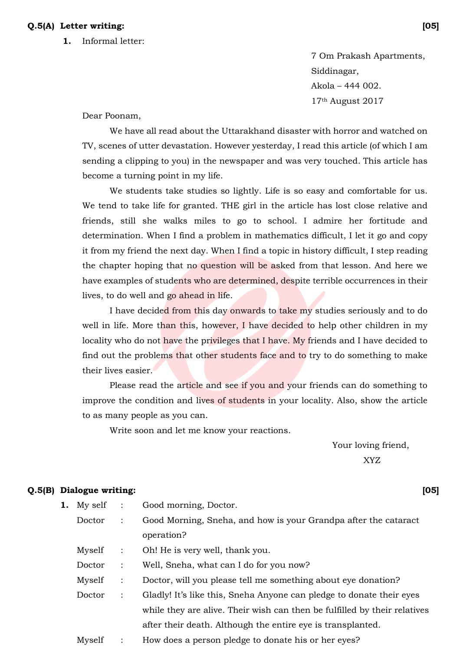### **Q.5(A) Letter writing: [05]**

 **1.** Informal letter:

7 Om Prakash Apartments, Siddinagar, Akola – 444 002. 17th August 2017

Dear Poonam,

 We have all read about the Uttarakhand disaster with horror and watched on TV, scenes of utter devastation. However yesterday, I read this article (of which I am sending a clipping to you) in the newspaper and was very touched. This article has become a turning point in my life.

 We students take studies so lightly. Life is so easy and comfortable for us. We tend to take life for granted. THE girl in the article has lost close relative and friends, still she walks miles to go to school. I admire her fortitude and determination. When I find a problem in mathematics difficult, I let it go and copy it from my friend the next day. When I find a topic in history difficult, I step reading the chapter hoping that no question will be asked from that lesson. And here we have examples of students who are determined, despite terrible occurrences in their lives, to do well and go ahead in life.

 I have decided from this day onwards to take my studies seriously and to do well in life. More than this, however, I have decided to help other children in my locality who do not have the privileges that I have. My friends and I have decided to find out the problems that other students face and to try to do something to make their lives easier.

 Please read the article and see if you and your friends can do something to improve the condition and lives of students in your locality. Also, show the article to as many people as you can.

Write soon and let me know your reactions.

 Your loving friend, XYZ

### **Q.5(B) Dialogue writing: [05]**

- **1.** My self : Good morning, Doctor.
	- Doctor : Good Morning, Sneha, and how is your Grandpa after the cataract operation?
	- Myself : Oh! He is very well, thank you.
	- Doctor : Well, Sneha, what can I do for you now?
	- Myself : Doctor, will you please tell me something about eye donation?
	- Doctor : Gladly! It's like this, Sneha Anyone can pledge to donate their eyes while they are alive. Their wish can then be fulfilled by their relatives after their death. Although the entire eye is transplanted.
	- Myself : How does a person pledge to donate his or her eyes?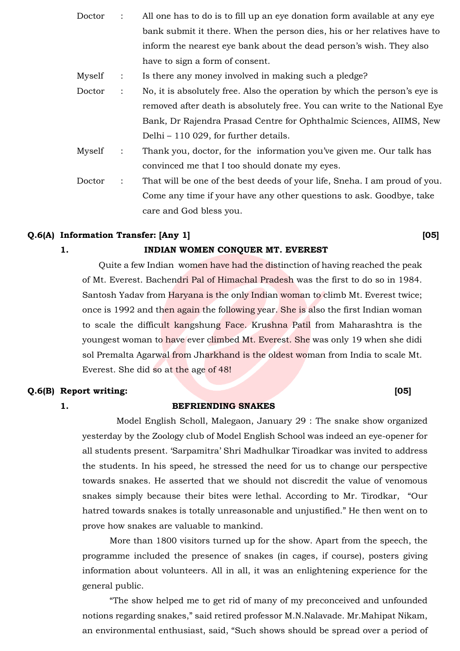- Doctor : All one has to do is to fill up an eye donation form available at any eye bank submit it there. When the person dies, his or her relatives have to inform the nearest eye bank about the dead person's wish. They also have to sign a form of consent.
- Myself : Is there any money involved in making such a pledge?
- Doctor : No, it is absolutely free. Also the operation by which the person's eye is removed after death is absolutely free. You can write to the National Eye Bank, Dr Rajendra Prasad Centre for Ophthalmic Sciences, AIIMS, New Delhi – 110 029, for further details.
- Myself : Thank you, doctor, for the information you've given me. Our talk has convinced me that I too should donate my eyes.
- Doctor : That will be one of the best deeds of your life, Sneha. I am proud of you. Come any time if your have any other questions to ask. Goodbye, take care and God bless you.

### **Q.6(A) Information Transfer: [Any 1] [05]**

### **1. INDIAN WOMEN CONQUER MT. EVEREST**

Quite a few Indian women have had the distinction of having reached the peak of Mt. Everest. Bachendri Pal of Himachal Pradesh was the first to do so in 1984. Santosh Yadav from Haryana is the only Indian woman to climb Mt. Everest twice; once is 1992 and then again the following year. She is also the first Indian woman to scale the difficult kangshung Face. Krushna Patil from Maharashtra is the youngest woman to have ever climbed Mt. Everest. She was only 19 when she didi sol Premalta Agarwal from Jharkhand is the oldest woman from India to scale Mt. Everest. She did so at the age of 48!

### **Q.6(B) Report writing: [05]**

### **1. BEFRIENDING SNAKES**

Model English Scholl, Malegaon, January 29 : The snake show organized yesterday by the Zoology club of Model English School was indeed an eye-opener for all students present. 'Sarpamitra' Shri Madhulkar Tiroadkar was invited to address the students. In his speed, he stressed the need for us to change our perspective towards snakes. He asserted that we should not discredit the value of venomous snakes simply because their bites were lethal. According to Mr. Tirodkar, "Our hatred towards snakes is totally unreasonable and unjustified." He then went on to prove how snakes are valuable to mankind.

 More than 1800 visitors turned up for the show. Apart from the speech, the programme included the presence of snakes (in cages, if course), posters giving information about volunteers. All in all, it was an enlightening experience for the general public.

 "The show helped me to get rid of many of my preconceived and unfounded notions regarding snakes," said retired professor M.N.Nalavade. Mr.Mahipat Nikam, an environmental enthusiast, said, "Such shows should be spread over a period of